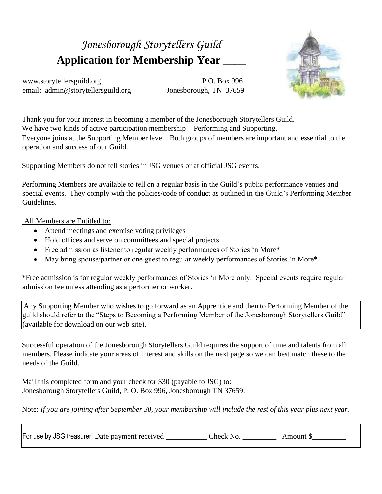## *Jonesborough Storytellers Guild* **Application for Membership Year \_\_\_\_**

www.storytellersguild.org P.O. Box 996 email: admin@storytellersguild.org Jonesborough, TN 37659



Thank you for your interest in becoming a member of the Jonesborough Storytellers Guild. We have two kinds of active participation membership – Performing and Supporting. Everyone joins at the Supporting Member level. Both groups of members are important and essential to the operation and success of our Guild.

Supporting Members do not tell stories in JSG venues or at official JSG events.

Performing Members are available to tell on a regular basis in the Guild's public performance venues and special events. They comply with the policies/code of conduct as outlined in the Guild's Performing Member Guidelines.

All Members are Entitled to:

- Attend meetings and exercise voting privileges
- Hold offices and serve on committees and special projects
- Free admission as listener to regular weekly performances of Stories 'n More\*
- May bring spouse/partner or one guest to regular weekly performances of Stories 'n More\*

\*Free admission is for regular weekly performances of Stories 'n More only. Special events require regular admission fee unless attending as a performer or worker.

Any Supporting Member who wishes to go forward as an Apprentice and then to Performing Member of the guild should refer to the "Steps to Becoming a Performing Member of the Jonesborough Storytellers Guild" (available for download on our web site).

Successful operation of the Jonesborough Storytellers Guild requires the support of time and talents from all members. Please indicate your areas of interest and skills on the next page so we can best match these to the needs of the Guild.

Mail this completed form and your check for \$30 (payable to JSG) to: Jonesborough Storytellers Guild, P. O. Box 996, Jonesborough TN 37659.

Note: *If you are joining after September 30, your membership will include the rest of this year plus next year.* 

For use by JSG treasurer: Date payment received Check No. Amount \$